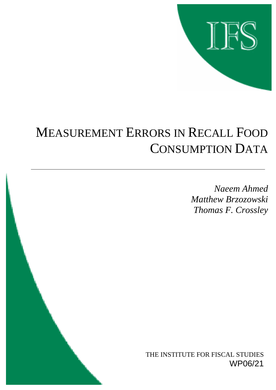

# MEASUREMENT ERRORS IN RECALL FOOD CONSUMPTION DATA

*Naeem Ahmed Matthew Brzozowski Thomas F. Crossley*

THE INSTITUTE FOR FISCAL STUDIES WP06/21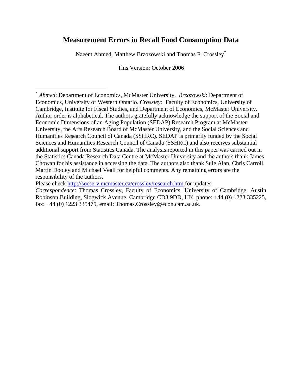# **Measurement Errors in Recall Food Consumption Data**

Naeem Ahmed, Matthew Brzozowski and Thomas F. Crossley[\\*](#page-1-0)

This Version: October 2006

Please check <http://socserv.mcmaster.ca/crossley/research.htm> for updates.

<u>.</u>

<span id="page-1-0"></span><sup>\*</sup> *Ahmed*: Department of Economics, McMaster University. *Brzozowski*: Department of Economics, University of Western Ontario. *Crossley:* Faculty of Economics, University of Cambridge, Institute for Fiscal Studies, and Department of Economics, McMaster University. Author order is alphabetical. The authors gratefully acknowledge the support of the Social and Economic Dimensions of an Aging Population (SEDAP) Research Program at McMaster University, the Arts Research Board of McMaster University, and the Social Sciences and Humanities Research Council of Canada (SSHRC). SEDAP is primarily funded by the Social Sciences and Humanities Research Council of Canada (SSHRC) and also receives substantial additional support from Statistics Canada. The analysis reported in this paper was carried out in the Statistics Canada Research Data Centre at McMaster University and the authors thank James Chowan for his assistance in accessing the data. The authors also thank Sule Alan, Chris Carroll, Martin Dooley and Michael Veall for helpful comments. Any remaining errors are the responsibility of the authors.

*Correspondence*: Thomas Crossley, Faculty of Economics, University of Cambridge, Austin Robinson Building, Sidgwick Avenue, Cambridge CD3 9DD, UK, phone: +44 (0) 1223 335225, fax: +44 (0) 1223 335475, email: Thomas.Crossley@econ.cam.ac.uk.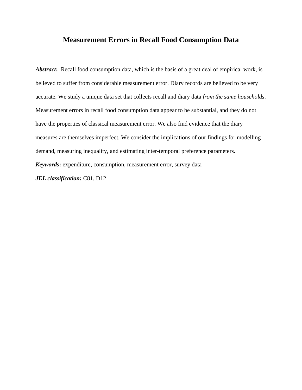# **Measurement Errors in Recall Food Consumption Data**

Abstract: Recall food consumption data, which is the basis of a great deal of empirical work, is believed to suffer from considerable measurement error. Diary records are believed to be very accurate. We study a unique data set that collects recall and diary data *from the same households*. Measurement errors in recall food consumption data appear to be substantial, and they do not have the properties of classical measurement error. We also find evidence that the diary measures are themselves imperfect. We consider the implications of our findings for modelling demand, measuring inequality, and estimating inter-temporal preference parameters. *Keywords***:** expenditure, consumption, measurement error, survey data

*JEL classification:* C81, D12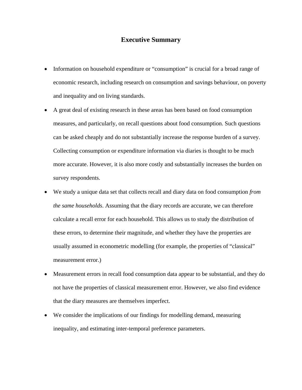## **Executive Summary**

- Information on household expenditure or "consumption" is crucial for a broad range of economic research, including research on consumption and savings behaviour, on poverty and inequality and on living standards.
- A great deal of existing research in these areas has been based on food consumption measures, and particularly, on recall questions about food consumption. Such questions can be asked cheaply and do not substantially increase the response burden of a survey. Collecting consumption or expenditure information via diaries is thought to be much more accurate. However, it is also more costly and substantially increases the burden on survey respondents.
- We study a unique data set that collects recall and diary data on food consumption *from the same households*. Assuming that the diary records are accurate, we can therefore calculate a recall error for each household. This allows us to study the distribution of these errors, to determine their magnitude, and whether they have the properties are usually assumed in econometric modelling (for example, the properties of "classical" measurement error.)
- Measurement errors in recall food consumption data appear to be substantial, and they do not have the properties of classical measurement error. However, we also find evidence that the diary measures are themselves imperfect.
- We consider the implications of our findings for modelling demand, measuring inequality, and estimating inter-temporal preference parameters.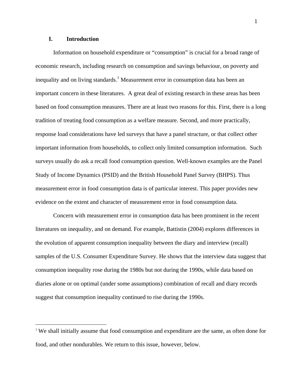#### **I. Introduction**

 $\overline{a}$ 

Information on household expenditure or "consumption" is crucial for a broad range of economic research, including research on consumption and savings behaviour, on poverty and inequality and on living standards.<sup>[1](#page-4-0)</sup> Measurement error in consumption data has been an important concern in these literatures. A great deal of existing research in these areas has been based on food consumption measures. There are at least two reasons for this. First, there is a long tradition of treating food consumption as a welfare measure. Second, and more practically, response load considerations have led surveys that have a panel structure, or that collect other important information from households, to collect only limited consumption information. Such surveys usually do ask a recall food consumption question. Well-known examples are the Panel Study of Income Dynamics (PSID) and the British Household Panel Survey (BHPS). Thus measurement error in food consumption data is of particular interest. This paper provides new evidence on the extent and character of measurement error in food consumption data.

Concern with measurement error in consumption data has been prominent in the recent literatures on inequality, and on demand. For example, Battistin (2004) explores differences in the evolution of apparent consumption inequality between the diary and interview (recall) samples of the U.S. Consumer Expenditure Survey. He shows that the interview data suggest that consumption inequality rose during the 1980s but not during the 1990s, while data based on diaries alone or on optimal (under some assumptions) combination of recall and diary records suggest that consumption inequality continued to rise during the 1990s.

<span id="page-4-0"></span><sup>1</sup> We shall initially assume that food consumption and expenditure are the same, as often done for food, and other nondurables. We return to this issue, however, below.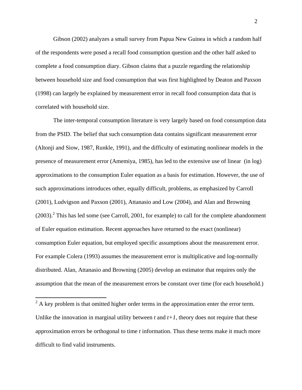Gibson (2002) analyzes a small survey from Papua New Guinea in which a random half of the respondents were posed a recall food consumption question and the other half asked to complete a food consumption diary. Gibson claims that a puzzle regarding the relationship between household size and food consumption that was first highlighted by Deaton and Paxson (1998) can largely be explained by measurement error in recall food consumption data that is correlated with household size.

The inter-temporal consumption literature is very largely based on food consumption data from the PSID. The belief that such consumption data contains significant measurement error (Altonji and Siow, 1987, Runkle, 1991), and the difficulty of estimating nonlinear models in the presence of measurement error (Amemiya, 1985), has led to the extensive use of linear (in log) approximations to the consumption Euler equation as a basis for estimation. However, the use of such approximations introduces other, equally difficult, problems, as emphasized by Carroll (2001), Ludvigson and Paxson (2001), Attanasio and Low (2004), and Alan and Browning  $(2003).$ <sup>2</sup> This has led some (see Carroll, 2001, for example) to call for the complete abandonment of Euler equation estimation. Recent approaches have returned to the exact (nonlinear) consumption Euler equation, but employed specific assumptions about the measurement error. For example Colera (1993) assumes the measurement error is multiplicative and log-normally distributed. Alan, Attanasio and Browning (2005) develop an estimator that requires only the assumption that the mean of the measurement errors be constant over time (for each household.)

<span id="page-5-0"></span> $\frac{1}{2}$  A key problem is that omitted higher order terms in the approximation enter the error term. Unlike the innovation in marginal utility between  $t$  and  $t+1$ , theory does not require that these approximation errors be orthogonal to time *t* information. Thus these terms make it much more difficult to find valid instruments.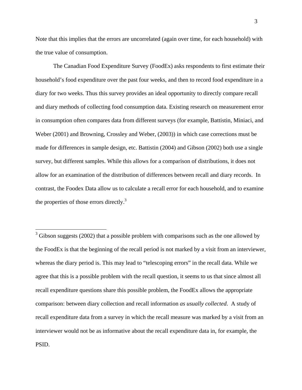Note that this implies that the errors are uncorrelated (again over time, for each household) with the true value of consumption.

The Canadian Food Expenditure Survey (FoodEx) asks respondents to first estimate their household's food expenditure over the past four weeks, and then to record food expenditure in a diary for two weeks. Thus this survey provides an ideal opportunity to directly compare recall and diary methods of collecting food consumption data. Existing research on measurement error in consumption often compares data from different surveys (for example, Battistin, Miniaci, and Weber (2001) and Browning, Crossley and Weber, (2003)) in which case corrections must be made for differences in sample design, etc. Battistin (2004) and Gibson (2002) both use a single survey, but different samples. While this allows for a comparison of distributions, it does not allow for an examination of the distribution of differences between recall and diary records. In contrast, the Foodex Data allow us to calculate a recall error for each household, and to examine the properties of those errors directly.<sup>[3](#page-6-0)</sup>

 $\overline{a}$ 

<span id="page-6-0"></span> $3$  Gibson suggests (2002) that a possible problem with comparisons such as the one allowed by the FoodEx is that the beginning of the recall period is not marked by a visit from an interviewer, whereas the diary period is. This may lead to "telescoping errors" in the recall data. While we agree that this is a possible problem with the recall question, it seems to us that since almost all recall expenditure questions share this possible problem, the FoodEx allows the appropriate comparison: between diary collection and recall information *as usually collected*. A study of recall expenditure data from a survey in which the recall measure was marked by a visit from an interviewer would not be as informative about the recall expenditure data in, for example, the PSID.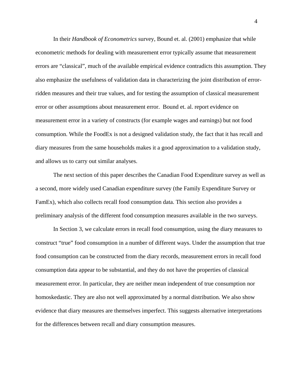In their *Handbook of Econometrics* survey, Bound et. al. (2001) emphasize that while econometric methods for dealing with measurement error typically assume that measurement errors are "classical", much of the available empirical evidence contradicts this assumption. They also emphasize the usefulness of validation data in characterizing the joint distribution of errorridden measures and their true values, and for testing the assumption of classical measurement error or other assumptions about measurement error. Bound et. al. report evidence on measurement error in a variety of constructs (for example wages and earnings) but not food consumption. While the FoodEx is not a designed validation study, the fact that it has recall and diary measures from the same households makes it a good approximation to a validation study, and allows us to carry out similar analyses.

The next section of this paper describes the Canadian Food Expenditure survey as well as a second, more widely used Canadian expenditure survey (the Family Expenditure Survey or FamEx), which also collects recall food consumption data. This section also provides a preliminary analysis of the different food consumption measures available in the two surveys.

In Section 3, we calculate errors in recall food consumption, using the diary measures to construct "true" food consumption in a number of different ways. Under the assumption that true food consumption can be constructed from the diary records, measurement errors in recall food consumption data appear to be substantial, and they do not have the properties of classical measurement error. In particular, they are neither mean independent of true consumption nor homoskedastic. They are also not well approximated by a normal distribution. We also show evidence that diary measures are themselves imperfect. This suggests alternative interpretations for the differences between recall and diary consumption measures.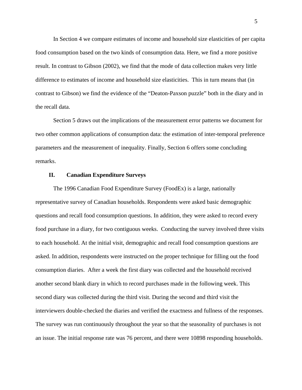In Section 4 we compare estimates of income and household size elasticities of per capita food consumption based on the two kinds of consumption data. Here, we find a more positive result. In contrast to Gibson (2002), we find that the mode of data collection makes very little difference to estimates of income and household size elasticities. This in turn means that (in contrast to Gibson) we find the evidence of the "Deaton-Paxson puzzle" both in the diary and in the recall data.

Section 5 draws out the implications of the measurement error patterns we document for two other common applications of consumption data: the estimation of inter-temporal preference parameters and the measurement of inequality. Finally, Section 6 offers some concluding remarks.

#### **II. Canadian Expenditure Surveys**

The 1996 Canadian Food Expenditure Survey (FoodEx) is a large, nationally representative survey of Canadian households. Respondents were asked basic demographic questions and recall food consumption questions. In addition, they were asked to record every food purchase in a diary, for two contiguous weeks. Conducting the survey involved three visits to each household. At the initial visit, demographic and recall food consumption questions are asked. In addition, respondents were instructed on the proper technique for filling out the food consumption diaries. After a week the first diary was collected and the household received another second blank diary in which to record purchases made in the following week. This second diary was collected during the third visit. During the second and third visit the interviewers double-checked the diaries and verified the exactness and fullness of the responses. The survey was run continuously throughout the year so that the seasonality of purchases is not an issue. The initial response rate was 76 percent, and there were 10898 responding households.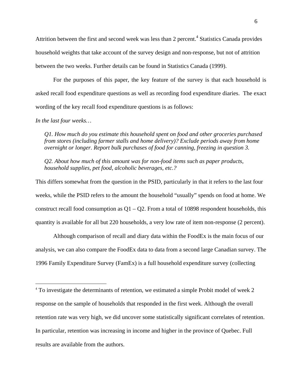Attrition between the first and second week was less than 2 percent.<sup>[4](#page-9-0)</sup> Statistics Canada provides household weights that take account of the survey design and non-response, but not of attrition between the two weeks. Further details can be found in Statistics Canada (1999).

For the purposes of this paper, the key feature of the survey is that each household is asked recall food expenditure questions as well as recording food expenditure diaries. The exact wording of the key recall food expenditure questions is as follows:

#### *In the last four weeks…*

1

*Q1. How much do you estimate this household spent on food and other groceries purchased from stores (including farmer stalls and home delivery)? Exclude periods away from home overnight or longer. Report bulk purchases of food for canning, freezing in question 3.* 

*Q2. About how much of this amount was for non-food items such as paper products, household supplies, pet food, alcoholic beverages, etc.?* 

This differs somewhat from the question in the PSID, particularly in that it refers to the last four weeks, while the PSID refers to the amount the household "usually" spends on food at home. We construct recall food consumption as  $Q1 - Q2$ . From a total of 10898 respondent households, this quantity is available for all but 220 households, a very low rate of item non-response (2 percent).

Although comparison of recall and diary data within the FoodEx is the main focus of our analysis, we can also compare the FoodEx data to data from a second large Canadian survey. The 1996 Family Expenditure Survey (FamEx) is a full household expenditure survey (collecting

<span id="page-9-0"></span><sup>&</sup>lt;sup>4</sup> To investigate the determinants of retention, we estimated a simple Probit model of week 2 response on the sample of households that responded in the first week. Although the overall retention rate was very high, we did uncover some statistically significant correlates of retention. In particular, retention was increasing in income and higher in the province of Quebec. Full results are available from the authors.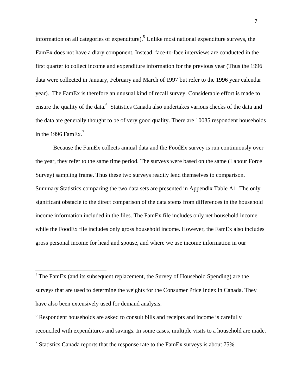information on all categories of expenditure).<sup>5</sup> Unlike most national expenditure surveys, the FamEx does not have a diary component. Instead, face-to-face interviews are conducted in the first quarter to collect income and expenditure information for the previous year (Thus the 1996 data were collected in January, February and March of 1997 but refer to the 1996 year calendar year). The FamEx is therefore an unusual kind of recall survey. Considerable effort is made to ensure the quality of the data.<sup>6</sup> Statistics Canada also undertakes various checks of the data and the data are generally thought to be of very good quality. There are 10085 respondent households in the 1996 FamEx.<sup>[7](#page-10-2)</sup>

Because the FamEx collects annual data and the FoodEx survey is run continuously over the year, they refer to the same time period. The surveys were based on the same (Labour Force Survey) sampling frame. Thus these two surveys readily lend themselves to comparison. Summary Statistics comparing the two data sets are presented in Appendix Table A1. The only significant obstacle to the direct comparison of the data stems from differences in the household income information included in the files. The FamEx file includes only net household income while the FoodEx file includes only gross household income. However, the FamEx also includes gross personal income for head and spouse, and where we use income information in our

 $\overline{a}$ 

<span id="page-10-0"></span> $5$  The FamEx (and its subsequent replacement, the Survey of Household Spending) are the surveys that are used to determine the weights for the Consumer Price Index in Canada. They have also been extensively used for demand analysis.

<span id="page-10-2"></span><span id="page-10-1"></span> $6$  Respondent households are asked to consult bills and receipts and income is carefully reconciled with expenditures and savings. In some cases, multiple visits to a household are made. <sup>7</sup> Statistics Canada reports that the response rate to the FamEx surveys is about  $75\%$ .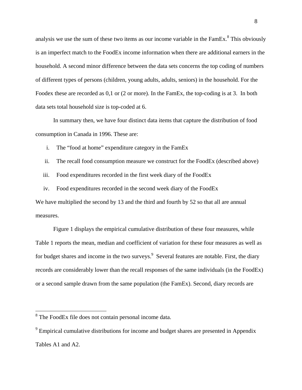analysis we use the sum of these two items as our income variable in the  $FamEx$ .<sup>[8](#page-11-0)</sup> This obviously is an imperfect match to the FoodEx income information when there are additional earners in the household. A second minor difference between the data sets concerns the top coding of numbers of different types of persons (children, young adults, adults, seniors) in the household. For the Foodex these are recorded as 0,1 or (2 or more). In the FamEx, the top-coding is at 3. In both data sets total household size is top-coded at 6.

In summary then, we have four distinct data items that capture the distribution of food consumption in Canada in 1996. These are:

i. The "food at home" expenditure category in the FamEx

ii. The recall food consumption measure we construct for the FoodEx (described above)

iii. Food expenditures recorded in the first week diary of the FoodEx

iv. Food expenditures recorded in the second week diary of the FoodEx We have multiplied the second by 13 and the third and fourth by 52 so that all are annual measures.

Figure 1 displays the empirical cumulative distribution of these four measures, while Table 1 reports the mean, median and coefficient of variation for these four measures as well as for budget shares and income in the two surveys. Several features are notable. First, the diary records are considerably lower than the recall responses of the same individuals (in the FoodEx) or a second sample drawn from the same population (the FamEx). Second, diary records are

<u>.</u>

<span id="page-11-0"></span><sup>&</sup>lt;sup>8</sup> The FoodEx file does not contain personal income data.

<span id="page-11-1"></span> $9^9$  Empirical cumulative distributions for income and budget shares are presented in Appendix Tables A1 and A2.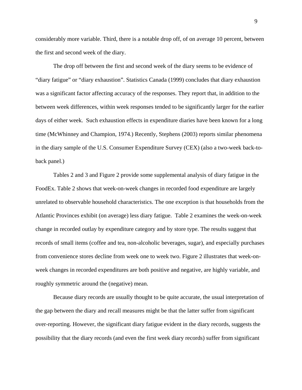considerably more variable. Third, there is a notable drop off, of on average 10 percent, between the first and second week of the diary.

The drop off between the first and second week of the diary seems to be evidence of "diary fatigue" or "diary exhaustion". Statistics Canada (1999) concludes that diary exhaustion was a significant factor affecting accuracy of the responses. They report that, in addition to the between week differences, within week responses tended to be significantly larger for the earlier days of either week. Such exhaustion effects in expenditure diaries have been known for a long time (McWhinney and Champion, 1974.) Recently, Stephens (2003) reports similar phenomena in the diary sample of the U.S. Consumer Expenditure Survey (CEX) (also a two-week back-toback panel.)

Tables 2 and 3 and Figure 2 provide some supplemental analysis of diary fatigue in the FoodEx. Table 2 shows that week-on-week changes in recorded food expenditure are largely unrelated to observable household characteristics. The one exception is that households from the Atlantic Provinces exhibit (on average) less diary fatigue. Table 2 examines the week-on-week change in recorded outlay by expenditure category and by store type. The results suggest that records of small items (coffee and tea, non-alcoholic beverages, sugar), and especially purchases from convenience stores decline from week one to week two. Figure 2 illustrates that week-onweek changes in recorded expenditures are both positive and negative, are highly variable, and roughly symmetric around the (negative) mean.

Because diary records are usually thought to be quite accurate, the usual interpretation of the gap between the diary and recall measures might be that the latter suffer from significant over-reporting. However, the significant diary fatigue evident in the diary records, suggests the possibility that the diary records (and even the first week diary records) suffer from significant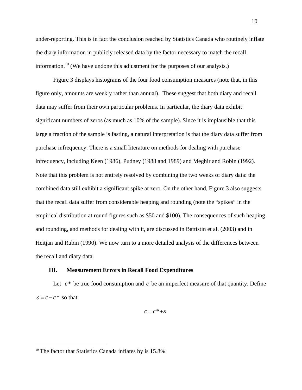under-reporting. This is in fact the conclusion reached by Statistics Canada who routinely inflate the diary information in publicly released data by the factor necessary to match the recall information.<sup>10</sup> (We have undone this adjustment for the purposes of our analysis.)

Figure 3 displays histograms of the four food consumption measures (note that, in this figure only, amounts are weekly rather than annual). These suggest that both diary and recall data may suffer from their own particular problems. In particular, the diary data exhibit significant numbers of zeros (as much as 10% of the sample). Since it is implausible that this large a fraction of the sample is fasting, a natural interpretation is that the diary data suffer from purchase infrequency. There is a small literature on methods for dealing with purchase infrequency, including Keen (1986), Pudney (1988 and 1989) and Meghir and Robin (1992). Note that this problem is not entirely resolved by combining the two weeks of diary data: the combined data still exhibit a significant spike at zero. On the other hand, Figure 3 also suggests that the recall data suffer from considerable heaping and rounding (note the "spikes" in the empirical distribution at round figures such as \$50 and \$100). The consequences of such heaping and rounding, and methods for dealing with it, are discussed in Battistin et al. (2003) and in Heitjan and Rubin (1990). We now turn to a more detailed analysis of the differences between the recall and diary data.

#### **III. Measurement Errors in Recall Food Expenditures**

Let  $c^*$  be true food consumption and  $c$  be an imperfect measure of that quantity. Define  $\varepsilon = c - c^*$  so that:

 $c = c^* + \varepsilon$ 

 $\overline{a}$ 

<span id="page-13-0"></span> $10$  The factor that Statistics Canada inflates by is 15.8%.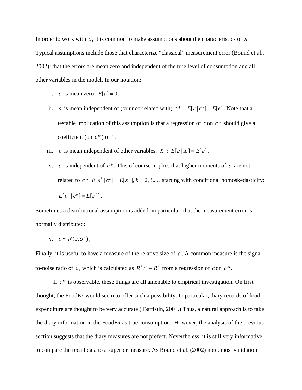In order to work with  $c$ , it is common to make assumptions about the characteristics of  $\varepsilon$ . Typical assumptions include those that characterize "classical" measurement error (Bound et al., 2002): that the errors are mean zero and independent of the true level of consumption and all other variables in the model. In our notation:

- i.  $\varepsilon$  is mean zero:  $E[\varepsilon] = 0$ ,
- ii.  $\varepsilon$  is mean independent of (or uncorrelated with)  $c^*$ :  $E[\varepsilon | c^*] = E[e]$ . Note that a testable implication of this assumption is that a regression of  $c$  on  $c^*$  should give a coefficient (on  $c^*$ ) of 1.
- iii.  $\varepsilon$  is mean independent of other variables,  $X : E[\varepsilon | X] = E[\varepsilon]$ .
- iv.  $\varepsilon$  is independent of  $c^*$ . This of course implies that higher moments of  $\varepsilon$  are not related to  $c^*$ :  $E[\varepsilon^k | c^*] = E[\varepsilon^k]$ ,  $k = 2,3,...$ , starting with conditional homoskedasticity:  $E[\varepsilon^2 | c^*] = E[\varepsilon^2].$

Sometimes a distributional assumption is added, in particular, that the measurement error is normally distributed:

$$
v. \quad \varepsilon \sim N(0, \sigma^2),
$$

Finally, it is useful to have a measure of the relative size of  $\varepsilon$ . A common measure is the signalto-noise ratio of *c*, which is calculated as  $R^2/1 - R^2$  from a regression of *c* on  $c^*$ .

If  $c^*$  is observable, these things are all amenable to empirical investigation. On first thought, the FoodEx would seem to offer such a possibility. In particular, diary records of food expenditure are thought to be very accurate ( Battistin, 2004.) Thus, a natural approach is to take the diary information in the FoodEx as true consumption. However, the analysis of the previous section suggests that the diary measures are not prefect. Nevertheless, it is still very informative to compare the recall data to a superior measure. As Bound et al. (2002) note, most validation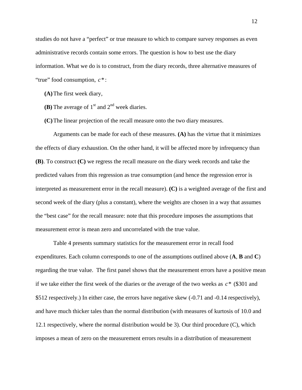studies do not have a "perfect" or true measure to which to compare survey responses as even administrative records contain some errors. The question is how to best use the diary information. What we do is to construct, from the diary records, three alternative measures of "true" food consumption, *c*\*:

**(A)**The first week diary,

- **(B)** The average of  $1<sup>st</sup>$  and  $2<sup>nd</sup>$  week diaries.
- **(C)**The linear projection of the recall measure onto the two diary measures.

Arguments can be made for each of these measures. **(A)** has the virtue that it minimizes the effects of diary exhaustion. On the other hand, it will be affected more by infrequency than **(B)**. To construct **(C)** we regress the recall measure on the diary week records and take the predicted values from this regression as true consumption (and hence the regression error is interpreted as measurement error in the recall measure). **(C)** is a weighted average of the first and second week of the diary (plus a constant), where the weights are chosen in a way that assumes the "best case" for the recall measure: note that this procedure imposes the assumptions that measurement error is mean zero and uncorrelated with the true value.

Table 4 presents summary statistics for the measurement error in recall food expenditures. Each column corresponds to one of the assumptions outlined above (**A**, **B** and **C**) regarding the true value. The first panel shows that the measurement errors have a positive mean if we take either the first week of the diaries or the average of the two weeks as  $c^*$  (\$301 and \$512 respectively.) In either case, the errors have negative skew (-0.71 and -0.14 respectively), and have much thicker tales than the normal distribution (with measures of kurtosis of 10.0 and 12.1 respectively, where the normal distribution would be 3). Our third procedure (C), which imposes a mean of zero on the measurement errors results in a distribution of measurement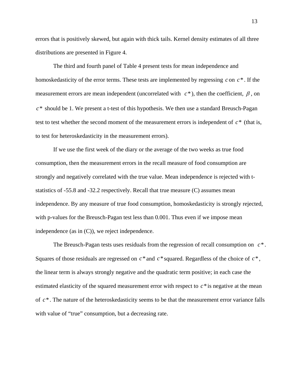errors that is positively skewed, but again with thick tails. Kernel density estimates of all three distributions are presented in Figure 4.

The third and fourth panel of Table 4 present tests for mean independence and homoskedasticity of the error terms. These tests are implemented by regressing  $c$  on  $c^*$ . If the measurement errors are mean independent (uncorrelated with  $c^*$ ), then the coefficient,  $\beta$ , on  $c^*$  should be 1. We present a t-test of this hypothesis. We then use a standard Breusch-Pagan test to test whether the second moment of the measurement errors is independent of  $c^*$  (that is, to test for heteroskedasticity in the measurement errors).

If we use the first week of the diary or the average of the two weeks as true food consumption, then the measurement errors in the recall measure of food consumption are strongly and negatively correlated with the true value. Mean independence is rejected with tstatistics of -55.8 and -32.2 respectively. Recall that true measure (C) assumes mean independence. By any measure of true food consumption, homoskedasticity is strongly rejected, with p-values for the Breusch-Pagan test less than 0.001. Thus even if we impose mean independence (as in (C)), we reject independence.

The Breusch-Pagan tests uses residuals from the regression of recall consumption on  $c^*$ . Squares of those residuals are regressed on  $c^*$  and  $c^*$  squared. Regardless of the choice of  $c^*$ , the linear term is always strongly negative and the quadratic term positive; in each case the estimated elasticity of the squared measurement error with respect to  $c^*$  is negative at the mean of  $c^*$ . The nature of the heteroskedasticity seems to be that the measurement error variance falls with value of "true" consumption, but a decreasing rate.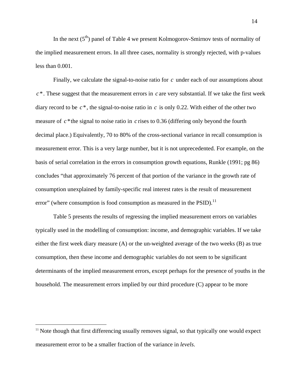In the next  $(5<sup>th</sup>)$  panel of Table 4 we present Kolmogorov-Smirnov tests of normality of the implied measurement errors. In all three cases, normality is strongly rejected, with p-values less than 0.001.

Finally, we calculate the signal-to-noise ratio for  $c$  under each of our assumptions about  $c^*$ . These suggest that the measurement errors in  $c$  are very substantial. If we take the first week diary record to be  $c^*$ , the signal-to-noise ratio in  $c$  is only 0.22. With either of the other two measure of  $c^*$  the signal to noise ratio in  $c$  rises to 0.36 (differing only beyond the fourth decimal place.) Equivalently, 70 to 80% of the cross-sectional variance in recall consumption is measurement error. This is a very large number, but it is not unprecedented. For example, on the basis of serial correlation in the errors in consumption growth equations, Runkle (1991; pg 86) concludes "that approximately 76 percent of that portion of the variance in the growth rate of consumption unexplained by family-specific real interest rates is the result of measurement error" (where consumption is food consumption as measured in the  $PSID$ ).<sup>[11](#page-17-0)</sup>

Table 5 presents the results of regressing the implied measurement errors on variables typically used in the modelling of consumption: income, and demographic variables. If we take either the first week diary measure (A) or the un-weighted average of the two weeks (B) as true consumption, then these income and demographic variables do not seem to be significant determinants of the implied measurement errors, except perhaps for the presence of youths in the household. The measurement errors implied by our third procedure (C) appear to be more

1

<span id="page-17-0"></span><sup>&</sup>lt;sup>11</sup> Note though that first differencing usually removes signal, so that typically one would expect measurement error to be a smaller fraction of the variance in *levels*.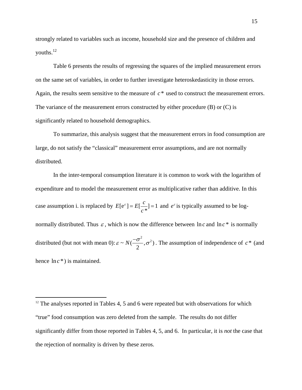strongly related to variables such as income, household size and the presence of children and youths[.12](#page-18-0) 

Table 6 presents the results of regressing the squares of the implied measurement errors on the same set of variables, in order to further investigate heteroskedasticity in those errors. Again, the results seem sensitive to the measure of  $c^*$  used to construct the measurement errors. The variance of the measurement errors constructed by either procedure  $(B)$  or  $(C)$  is significantly related to household demographics.

To summarize, this analysis suggest that the measurement errors in food consumption are large, do not satisfy the "classical" measurement error assumptions, and are not normally distributed.

In the inter-temporal consumption literature it is common to work with the logarithm of expenditure and to model the measurement error as multiplicative rather than additive. In this case assumption i. is replaced by  $E[e^{\epsilon}] = E[\frac{C}{\epsilon}] = 1$ \*  $E[e^{\varepsilon}] = E[\frac{c}{\varepsilon}]$ *c*  $\epsilon$ ] =  $E[\frac{C}{\epsilon}]$  = 1 and  $e^{\epsilon}$  is typically assumed to be lognormally distributed. Thus  $\varepsilon$ , which is now the difference between  $\ln c$  and  $\ln c^*$  is normally distributed (but not with mean 0):  $\varepsilon \sim N(\frac{-\sigma^2}{2}, \sigma^2)$ . The assumption of independence of  $c^*$  (and hence  $\ln c^*$ ) is maintained.

<span id="page-18-0"></span> $12$  The analyses reported in Tables 4, 5 and 6 were repeated but with observations for which "true" food consumption was zero deleted from the sample. The results do not differ significantly differ from those reported in Tables 4, 5, and 6. In particular, it is *not* the case that the rejection of normality is driven by these zeros.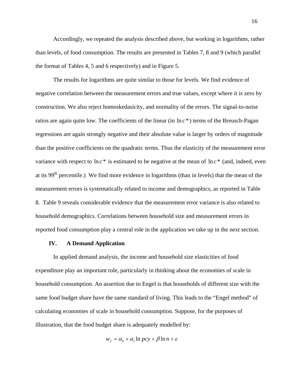Accordingly, we repeated the analysis described above, but working in logarithms, rather than levels, of food consumption. The results are presented in Tables 7, 8 and 9 (which parallel the format of Tables 4, 5 and 6 respectively) and in Figure 5.

The results for logarithms are quite similar to those for levels. We find evidence of negative correlation between the measurement errors and true values, except where it is zero by construction. We also reject homoskedasicity, and normality of the errors. The signal-to-noise ratios are again quite low. The coefficients of the linear (in  $\ln c^*$ ) terms of the Breusch-Pagan regressions are again strongly negative and their absolute value is larger by orders of magnitude than the positive coefficients on the quadratic terms. Thus the elasticity of the measurement error variance with respect to  $\ln c^*$  is estimated to be negative at the mean of  $\ln c^*$  (and, indeed, even at its 99th percentile.) We find more evidence in logarithms (than in levels) that the mean of the measurement errors is systematically related to income and demographics, as reported in Table 8. Table 9 reveals considerable evidence that the measurement error variance is also related to household demographics. Correlations between household size and measurement errors in reported food consumption play a central role in the application we take up in the next section.

#### **IV. A Demand Application**

In applied demand analysis, the income and household size elasticities of food expenditure play an important role, particularly in thinking about the economies of scale in household consumption. An assertion due to Engel is that households of different size with the same food budget share have the same standard of living. This leads to the "Engel method" of calculating economies of scale in household consumption. Suppose, for the purposes of illustration, that the food budget share is adequately modelled by:

$$
w_f = \alpha_0 + \alpha_1 \ln pcy + \beta \ln n + \varepsilon
$$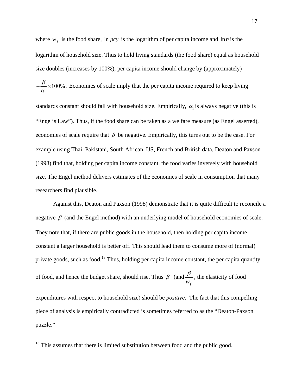where  $w_f$  is the food share, ln *pcy* is the logarithm of per capita income and ln *n* is the logarithm of household size. Thus to hold living standards (the food share) equal as household size doubles (increases by 100%), per capita income should change by (approximately)

$$
-\frac{\beta}{\alpha_1} \times 100\%
$$
. Economics of scale imply that the per capita income required to keep living

standards constant should fall with household size. Empirically,  $\alpha_1$  is always negative (this is "Engel's Law"). Thus, if the food share can be taken as a welfare measure (as Engel asserted), economies of scale require that  $\beta$  be negative. Empirically, this turns out to be the case. For example using Thai, Pakistani, South African, US, French and British data, Deaton and Paxson (1998) find that, holding per capita income constant, the food varies inversely with household size. The Engel method delivers estimates of the economies of scale in consumption that many researchers find plausible.

Against this, Deaton and Paxson (1998) demonstrate that it is quite difficult to reconcile a negative  $\beta$  (and the Engel method) with an underlying model of household economies of scale. They note that, if there are public goods in the household, then holding per capita income constant a larger household is better off. This should lead them to consume more of (normal) private goods, such as food.<sup>13</sup> Thus, holding per capita income constant, the per capita quantity of food, and hence the budget share, should rise. Thus  $\beta$  (and  $w_f$  $\frac{\beta}{\beta}$ , the elasticity of food expenditures with respect to household size) should be *positive*. The fact that this compelling piece of analysis is empirically contradicted is sometimes referred to as the "Deaton-Paxson

puzzle."

<span id="page-20-0"></span> $13$  This assumes that there is limited substitution between food and the public good.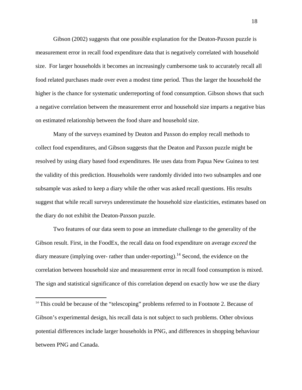Gibson (2002) suggests that one possible explanation for the Deaton-Paxson puzzle is measurement error in recall food expenditure data that is negatively correlated with household size. For larger households it becomes an increasingly cumbersome task to accurately recall all food related purchases made over even a modest time period. Thus the larger the household the higher is the chance for systematic underreporting of food consumption. Gibson shows that such a negative correlation between the measurement error and household size imparts a negative bias on estimated relationship between the food share and household size.

Many of the surveys examined by Deaton and Paxson do employ recall methods to collect food expenditures, and Gibson suggests that the Deaton and Paxson puzzle might be resolved by using diary based food expenditures. He uses data from Papua New Guinea to test the validity of this prediction. Households were randomly divided into two subsamples and one subsample was asked to keep a diary while the other was asked recall questions. His results suggest that while recall surveys underestimate the household size elasticities, estimates based on the diary do not exhibit the Deaton-Paxson puzzle.

Two features of our data seem to pose an immediate challenge to the generality of the Gibson result. First, in the FoodEx, the recall data on food expenditure on average *exceed* the diary measure (implying over- rather than under-reporting).<sup>14</sup> Second, the evidence on the correlation between household size and measurement error in recall food consumption is mixed. The sign and statistical significance of this correlation depend on exactly how we use the diary

1

<span id="page-21-0"></span> $14$  This could be because of the "telescoping" problems referred to in Footnote 2. Because of Gibson's experimental design, his recall data is not subject to such problems. Other obvious potential differences include larger households in PNG, and differences in shopping behaviour between PNG and Canada.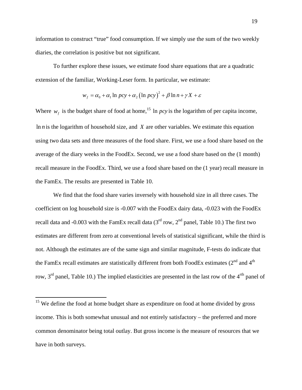information to construct "true" food consumption. If we simply use the sum of the two weekly diaries, the correlation is positive but not significant.

To further explore these issues, we estimate food share equations that are a quadratic extension of the familiar, Working-Leser form. In particular, we estimate:

$$
w_f = \alpha_0 + \alpha_1 \ln pcy + \alpha_2 (\ln pcy)^2 + \beta \ln n + \gamma X + \varepsilon
$$

Where  $w_f$  is the budget share of food at home,<sup>[15](#page-22-0)</sup> ln *pcy* is the logarithm of per capita income, In  $n$  is the logarithm of household size, and  $X$  are other variables. We estimate this equation using two data sets and three measures of the food share. First, we use a food share based on the average of the diary weeks in the FoodEx. Second, we use a food share based on the (1 month) recall measure in the FoodEx. Third, we use a food share based on the (1 year) recall measure in the FamEx. The results are presented in Table 10.

We find that the food share varies inversely with household size in all three cases. The coefficient on log household size is -0.007 with the FoodEx dairy data, -0.023 with the FoodEx recall data and -0.003 with the FamEx recall data  $(3<sup>rd</sup> row, 2<sup>nd</sup> panel, Table 10.)$  The first two estimates are different from zero at conventional levels of statistical significant, while the third is not. Although the estimates are of the same sign and similar magnitude, F-tests do indicate that the FamEx recall estimates are statistically different from both FoodEx estimates  $(2^{nd}$  and  $4^{th}$ row,  $3<sup>rd</sup>$  panel, Table 10.) The implied elasticities are presented in the last row of the  $4<sup>th</sup>$  panel of

<span id="page-22-0"></span> $15$  We define the food at home budget share as expenditure on food at home divided by gross income. This is both somewhat unusual and not entirely satisfactory – the preferred and more common denominator being total outlay. But gross income is the measure of resources that we have in both surveys.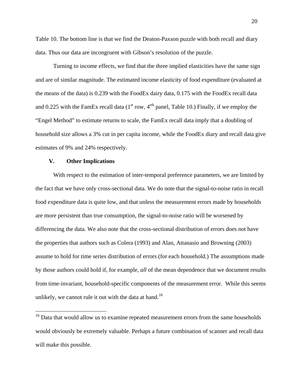Table 10. The bottom line is that we find the Deaton-Paxson puzzle with both recall and diary data. Thus our data are incongruent with Gibson's resolution of the puzzle.

 Turning to income effects, we find that the three implied elasticities have the same sign and are of similar magnitude. The estimated income elasticity of food expenditure (evaluated at the means of the data) is 0.239 with the FoodEx dairy data, 0.175 with the FoodEx recall data and 0.225 with the FamEx recall data  $(1<sup>st</sup> row, 4<sup>rth</sup> panel, Table 10.) Finally, if we employ the$ "Engel Method" to estimate returns to scale, the FamEx recall data imply that a doubling of household size allows a 3% cut in per capita income, while the FoodEx diary and recall data give estimates of 9% and 24% respectively.

#### **V. Other Implications**

 $\overline{a}$ 

With respect to the estimation of inter-temporal preference parameters, we are limited by the fact that we have only cross-sectional data. We do note that the signal-to-noise ratio in recall food expenditure data is quite low, and that unless the measurement errors made by households are more persistent than true consumption, the signal-to-noise ratio will be worsened by differencing the data. We also note that the cross-sectional distribution of errors does not have the properties that authors such as Colera (1993) and Alan, Attanasio and Browning (2003) assume to hold for time series distribution of errors (for each household.) The assumptions made by those authors could hold if, for example, *all* of the mean dependence that we document results from time-invariant, household-specific components of the measurement error. While this seems unlikely, we cannot rule it out with the data at hand.<sup>16</sup>

<span id="page-23-0"></span><sup>&</sup>lt;sup>16</sup> Data that would allow us to examine repeated measurement errors from the same households would obviously be extremely valuable. Perhaps a future combination of scanner and recall data will make this possible.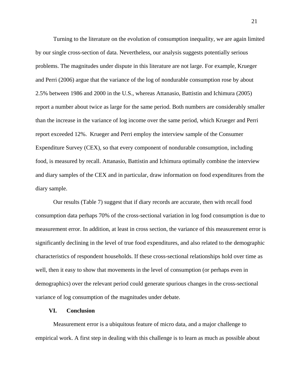Turning to the literature on the evolution of consumption inequality, we are again limited by our single cross-section of data. Nevertheless, our analysis suggests potentially serious problems. The magnitudes under dispute in this literature are not large. For example, Krueger and Perri (2006) argue that the variance of the log of nondurable consumption rose by about 2.5% between 1986 and 2000 in the U.S., whereas Attanasio, Battistin and Ichimura (2005) report a number about twice as large for the same period. Both numbers are considerably smaller than the increase in the variance of log income over the same period, which Krueger and Perri report exceeded 12%. Krueger and Perri employ the interview sample of the Consumer Expenditure Survey (CEX), so that every component of nondurable consumption, including food, is measured by recall. Attanasio, Battistin and Ichimura optimally combine the interview and diary samples of the CEX and in particular, draw information on food expenditures from the diary sample.

Our results (Table 7) suggest that if diary records are accurate, then with recall food consumption data perhaps 70% of the cross-sectional variation in log food consumption is due to measurement error. In addition, at least in cross section, the variance of this measurement error is significantly declining in the level of true food expenditures, and also related to the demographic characteristics of respondent households. If these cross-sectional relationships hold over time as well, then it easy to show that movements in the level of consumption (or perhaps even in demographics) over the relevant period could generate spurious changes in the cross-sectional variance of log consumption of the magnitudes under debate.

#### **VI. Conclusion**

Measurement error is a ubiquitous feature of micro data, and a major challenge to empirical work. A first step in dealing with this challenge is to learn as much as possible about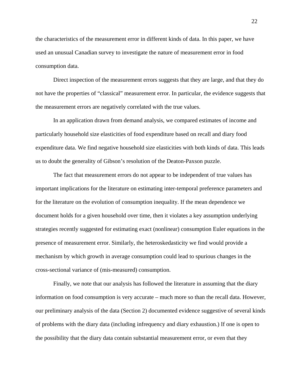the characteristics of the measurement error in different kinds of data. In this paper, we have used an unusual Canadian survey to investigate the nature of measurement error in food consumption data.

Direct inspection of the measurement errors suggests that they are large, and that they do not have the properties of "classical" measurement error. In particular, the evidence suggests that the measurement errors are negatively correlated with the true values.

In an application drawn from demand analysis, we compared estimates of income and particularly household size elasticities of food expenditure based on recall and diary food expenditure data. We find negative household size elasticities with both kinds of data. This leads us to doubt the generality of Gibson's resolution of the Deaton-Paxson puzzle.

The fact that measurement errors do not appear to be independent of true values has important implications for the literature on estimating inter-temporal preference parameters and for the literature on the evolution of consumption inequality. If the mean dependence we document holds for a given household over time, then it violates a key assumption underlying strategies recently suggested for estimating exact (nonlinear) consumption Euler equations in the presence of measurement error. Similarly, the heteroskedasticity we find would provide a mechanism by which growth in average consumption could lead to spurious changes in the cross-sectional variance of (mis-measured) consumption.

 Finally, we note that our analysis has followed the literature in assuming that the diary information on food consumption is very accurate – much more so than the recall data. However, our preliminary analysis of the data (Section 2) documented evidence suggestive of several kinds of problems with the diary data (including infrequency and diary exhaustion.) If one is open to the possibility that the diary data contain substantial measurement error, or even that they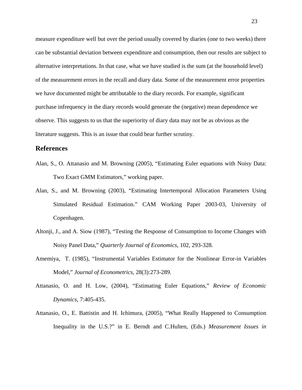measure expenditure well but over the period usually covered by diaries (one to two weeks) there can be substantial deviation between expenditure and consumption, then our results are subject to alternative interpretations. In that case, what we have studied is the sum (at the household level) of the measurement errors in the recall and diary data. Some of the measurement error properties we have documented might be attributable to the diary records. For example, significant purchase infrequency in the diary records would generate the (negative) mean dependence we observe. This suggests to us that the superiority of diary data may not be as obvious as the literature suggests. This is an issue that could bear further scrutiny.

### **References**

- Alan, S., O. Attanasio and M. Browning (2005), "Estimating Euler equations with Noisy Data: Two Exact GMM Estimators," working paper.
- Alan, S., and M. Browning (2003), "Estimating Intertemporal Allocation Parameters Using Simulated Residual Estimation." CAM Working Paper 2003-03, University of Copenhagen.
- Altonji, J., and A. Siow (1987), "Testing the Response of Consumption to Income Changes with Noisy Panel Data," *Quarterly Journal of Economics*, 102, 293-328.
- Amemiya, T. (1985), "Instrumental Variables Estimator for the Nonlinear Error-in Variables Model," *Journal of Econometrics*, 28(3):273-289.
- Attanasio, O. and H. Low, (2004), "Estimating Euler Equations," *Review of Economic Dynamics*, 7:405-435.
- Attanasio, O., E. Battistin and H. Ichimura, (2005), "What Really Happened to Consumption Inequality in the U.S.?" in E. Berndt and C.Hulten, (Eds.) *Measurement Issues in*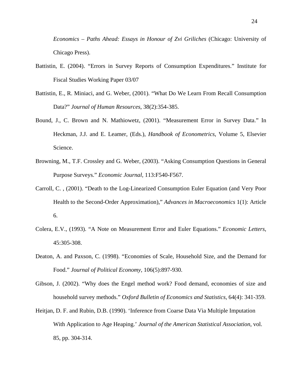*Economics – Paths Ahead: Essays in Honour of Zvi Griliches* (Chicago: University of Chicago Press).

- Battistin, E. (2004). "Errors in Survey Reports of Consumption Expenditures." Institute for Fiscal Studies Working Paper 03/07
- Battistin, E., R. Miniaci, and G. Weber, (2001). "What Do We Learn From Recall Consumption Data?" *Journal of Human Resources*, 38(2):354-385.
- Bound, J., C. Brown and N. Mathiowetz, (2001). "Measurement Error in Survey Data." In Heckman, J.J. and E. Leamer, (Eds.), *Handbook of Econometrics*, Volume 5, Elsevier Science.
- Browning, M., T.F. Crossley and G. Weber, (2003). "Asking Consumption Questions in General Purpose Surveys." *Economic Journal,* 113:F540-F567.
- Carroll, C. , (2001). "Death to the Log-Linearized Consumption Euler Equation (and Very Poor Health to the Second-Order Approximation)," *Advances in Macroeconomics* 1(1): Article 6.
- Colera, E.V., (1993). "A Note on Measurement Error and Euler Equations." *Economic Letters*, 45:305-308.
- Deaton, A. and Paxson, C. (1998). "Economies of Scale, Household Size, and the Demand for Food." *Journal of Political Economy,* 106(5):897-930.
- Gibson, J. (2002). "Why does the Engel method work? Food demand, economies of size and household survey methods." *Oxford Bulletin of Economics and Statistics,* 64(4): 341-359.
- Heitjan, D. F. and Rubin, D.B. (1990). 'Inference from Coarse Data Via Multiple Imputation With Application to Age Heaping.' *Journal of the American Statistical Association*, vol. 85, pp. 304-314.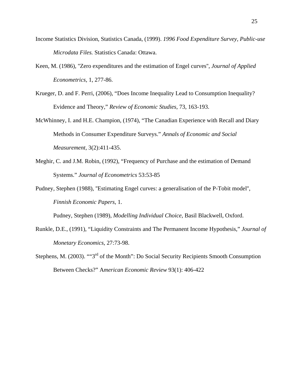- Income Statistics Division, Statistics Canada, (1999). *1996 Food Expenditure Survey, Public-use Microdata Files.* Statistics Canada: Ottawa.
- Keen, M. (1986), ''Zero expenditures and the estimation of Engel curves'', *Journal of Applied Econometrics*, 1, 277-86.
- Krueger, D. and F. Perri, (2006), "Does Income Inequality Lead to Consumption Inequality? Evidence and Theory," *Review of Economic Studies*, 73, 163-193.
- McWhinney, I. and H.E. Champion, (1974), "The Canadian Experience with Recall and Diary Methods in Consumer Expenditure Surveys." *Annals of Economic and Social Measurement*, 3(2):411-435.
- Meghir, C. and J.M. Robin, (1992), "Frequency of Purchase and the estimation of Demand Systems." *Journal of Econometrics* 53:53-85
- Pudney, Stephen (1988), ''Estimating Engel curves: a generalisation of the P-Tobit model'', *Finnish Economic Papers*, 1.

Pudney, Stephen (1989), *Modelling Individual Choice*, Basil Blackwell, Oxford.

- Runkle, D.E., (1991), "Liquidity Constraints and The Permanent Income Hypothesis," *Journal of Monetary Economics*, 27:73-98.
- Stephens, M. (2003). ""3<sup>rd</sup> of the Month": Do Social Security Recipients Smooth Consumption Between Checks?" A*merican Economic Review* 93(1): 406-422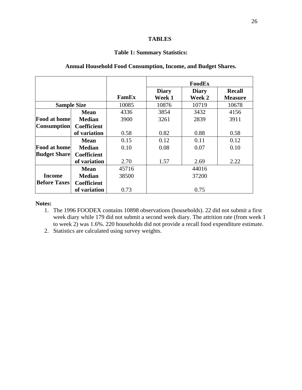#### **TABLES**

## **Table 1: Summary Statistics:**

|                     |                    |       |              | FoodEx       |                |
|---------------------|--------------------|-------|--------------|--------------|----------------|
|                     |                    |       | <b>Diary</b> | <b>Diary</b> | <b>Recall</b>  |
|                     |                    | FamEx | Week 1       | Week 2       | <b>Measure</b> |
| <b>Sample Size</b>  |                    | 10085 | 10876        | 10719        | 10678          |
|                     | <b>Mean</b>        | 4336  | 3854         | 3432         | 4156           |
| <b>Food at home</b> | <b>Median</b>      | 3900  | 3261         | 2839         | 3911           |
| <b>Consumption</b>  | <b>Coefficient</b> |       |              |              |                |
|                     | of variation       | 0.58  | 0.82         | 0.88         | 0.58           |
|                     | <b>Mean</b>        | 0.15  | 0.12         | 0.11         | 0.12           |
| <b>Food at home</b> | <b>Median</b>      | 0.10  | 0.08         | 0.07         | 0.10           |
| <b>Budget Share</b> | <b>Coefficient</b> |       |              |              |                |
|                     | of variation       | 2.70  | 1.57         | 2.69         | 2.22           |
|                     | <b>Mean</b>        | 45716 |              | 44016        |                |
| Income              | <b>Median</b>      | 38500 |              | 37200        |                |
| <b>Before Taxes</b> | <b>Coefficient</b> |       |              |              |                |
|                     | of variation       | 0.73  |              | 0.75         |                |

## **Annual Household Food Consumption, Income, and Budget Shares.**

#### **Notes:**

- 1. The 1996 FOODEX contains 10898 observations (households). 22 did not submit a first week diary while 179 did not submit a second week diary. The attrition rate (from week 1 to week 2) was 1.6%. 220 households did not provide a recall food expenditure estimate.
- 2. Statistics are calculated using survey weights.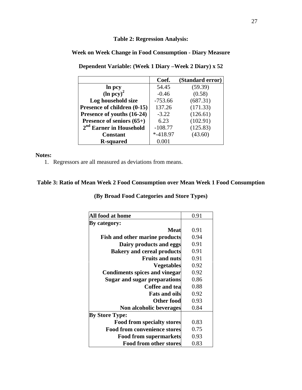## **Table 2: Regression Analysis:**

## **Week on Week Change in Food Consumption - Diary Measure**

|                                     | Coef.       | (Standard error) |
|-------------------------------------|-------------|------------------|
| ln pcy                              | 54.45       | (59.39)          |
| $(ln pcy)^2$                        | $-0.46$     | (0.58)           |
| Log household size                  | $-753.66$   | (687.31)         |
| Presence of children (0-15)         | 137.26      | (171.33)         |
| Presence of youths (16-24)          | $-3.22$     | (126.61)         |
| Presence of seniors $(65+)$         | 6.23        | (102.91)         |
| 2 <sup>nd</sup> Earner in Household | $-108.77$   | (125.83)         |
| <b>Constant</b>                     | $* -418.97$ | (43.60)          |
| <b>R-squared</b>                    | 0.001       |                  |

**Dependent Variable: (Week 1 Diary –Week 2 Diary) x 52** 

#### **Notes:**

1. Regressors are all measured as deviations from means.

## **Table 3: Ratio of Mean Week 2 Food Consumption over Mean Week 1 Food Consumption**

## **(By Broad Food Categories and Store Types)**

| All food at home                      | 0.91 |
|---------------------------------------|------|
| By category:                          |      |
| Meat                                  | 0.91 |
| <b>Fish and other marine products</b> | 0.94 |
| Dairy products and eggs               | 0.91 |
| <b>Bakery and cereal products</b>     | 0.91 |
| <b>Fruits and nuts</b>                | 0.91 |
| <b>Vegetables</b>                     | 0.92 |
| <b>Condiments spices and vinegar</b>  | 0.92 |
| Sugar and sugar preparations          | 0.86 |
| Coffee and tea                        | 0.88 |
| <b>Fats and oils</b>                  | 0.92 |
| Other food                            | 0.93 |
| Non alcoholic beverages               | 0.84 |
| <b>By Store Type:</b>                 |      |
| <b>Food from specialty stores</b>     | 0.83 |
| <b>Food from convenience stores</b>   | 0.75 |
| <b>Food from supermarkets</b>         | 0.93 |
| <b>Food from other stores</b>         | 0.83 |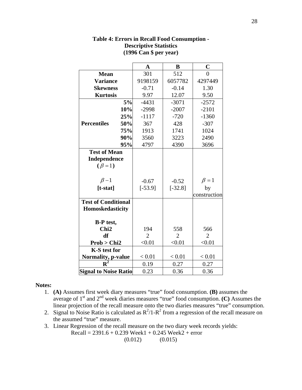|                                                    | $\mathbf A$    | B              | $\mathbf C$    |
|----------------------------------------------------|----------------|----------------|----------------|
| <b>Mean</b>                                        | 301            | 512            | $\theta$       |
| <b>Variance</b>                                    | 9198159        | 6057782        | 4297449        |
| <b>Skewness</b>                                    | $-0.71$        | $-0.14$        | 1.30           |
| <b>Kurtosis</b>                                    | 9.97           | 12.07          | 9.50           |
| 5%                                                 | $-4431$        | $-3071$        | $-2572$        |
| 10%                                                | $-2998$        | $-2007$        | $-2101$        |
| 25%                                                | $-1117$        | $-720$         | $-1360$        |
| <b>Percentiles</b><br>50%                          | 367            | 428            | $-307$         |
| 75%                                                | 1913           | 1741           | 1024           |
| 90%                                                | 3560           | 3223           | 2490           |
| 95%                                                | 4797           | 4390           | 3696           |
| <b>Test of Mean</b><br>Independence<br>$(\beta=1)$ |                |                |                |
| $\beta$ -1                                         | $-0.67$        | $-0.52$        | $\beta = 1$    |
| $[t-stat]$                                         | $[-53.9]$      | $[-32.8]$      | by             |
|                                                    |                |                | construction   |
| <b>Test of Conditional</b><br>Homoskedasticity     |                |                |                |
| <b>B-P</b> test,                                   |                |                |                |
| Chi <sub>2</sub>                                   | 194            | 558            | 566            |
| df                                                 | $\overline{2}$ | $\overline{2}$ | $\overline{2}$ |
| Prob > Chi2                                        | < 0.01         | < 0.01         | < 0.01         |
| <b>K-S</b> test for                                | < 0.01         | < 0.01         | < 0.01         |
| Normality, p-value<br>${\bf R}^2$                  | 0.19           | 0.27           | 0.27           |
|                                                    |                |                |                |
| <b>Signal to Noise Ratio</b>                       | 0.23           | 0.36           | 0.36           |

#### **Table 4: Errors in Recall Food Consumption - Descriptive Statistics (1996 Can \$ per year)**

#### **Notes:**

- 1. **(A)** Assumes first week diary measures "true" food consumption. **(B)** assumes the average of 1st and 2nd week diaries measures "true" food consumption. **(C)** Assumes the linear projection of the recall measure onto the two diaries measures "true" consumption.
- 2. Signal to Noise Ratio is calculated as  $R^2/1-R^2$  from a regression of the recall measure on the assumed "true" measure.
- 3. Linear Regression of the recall measure on the two diary week records yields:  $Recall = 2391.6 + 0.239$  Week1 + 0.245 Week2 + error  $(0.012)$   $(0.015)$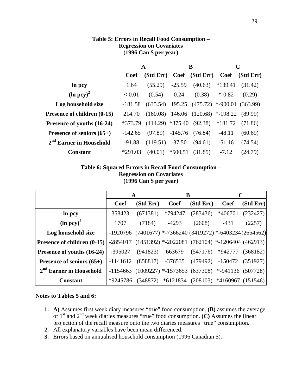|                                     |             | A         |           | B               | $\mathbf C$ |           |
|-------------------------------------|-------------|-----------|-----------|-----------------|-------------|-----------|
|                                     | <b>Coef</b> | (Std Err) | Coef      | (Std Err)       | <b>Coef</b> | (Std Err) |
| In pcy                              | 1.64        | (55.29)   | $-25.59$  | (40.63)         | $*139.41$   | (31.42)   |
| $(ln pcy)^2$                        | < 0.01      | (0.54)    | 0.24      | (0.38)          | $*$ -0.82   | (0.29)    |
| Log household size                  | $-181.58$   | (635.54)  | 195.25    | (475.72)        | $* -900.01$ | (363.99)  |
| Presence of children (0-15)         | 214.70      | (160.08)  |           | 146.06 (120.68) | $*$ -198.22 | (89.99)   |
| Presence of youths (16-24)          | *373.79     | (114.29)  | $*375.40$ | (92.38)         | $*181.72$   | (71.86)   |
| Presence of seniors $(65+)$         | $-142.65$   | (97.89)   | $-145.76$ | (76.84)         | $-48.11$    | (60.69)   |
| 2 <sup>nd</sup> Earner in Household | $-91.88$    | (119.51)  | $-37.50$  | (94.61)         | $-51.16$    | (74.54)   |
| <b>Constant</b>                     | $*291.03$   | (40.01)   | $*500.51$ | (31.85)         | $-7.12$     | (24.79)   |

## **Table 5: Errors in Recall Food Consumption – Regression on Covariates (1996 Can \$ per year)**

## **Table 6: Squared Errors in Recall Food Consumption – Regression on Covariates (1996 Can \$ per year)**

|                             | A           |                     | B                                                              |                    | $\mathbf C$                           |           |
|-----------------------------|-------------|---------------------|----------------------------------------------------------------|--------------------|---------------------------------------|-----------|
|                             | <b>Coef</b> | (Std Err)           | Coef                                                           | (StdErr)           | Coef                                  | (Std Err) |
| In pcy                      | 358423      | (671381)            | *794247                                                        | (283436)           | *406701                               | (232427)  |
| $(ln pcy)^2$                | 1707        | (7184)              | $-4293$                                                        | (2608)             | $-431$                                | (2257)    |
| Log household size          |             |                     | $-1920796$ (7401677) * -7366240 (3419272) * -6403234 (2654562) |                    |                                       |           |
| Presence of children (0-15) |             |                     | $-2854017$ (1851392) * -2022081 (762104) * -1206404 (462913)   |                    |                                       |           |
| Presence of youths (16-24)  | $-395027$   | (941823)            | 663679                                                         | $(547176)$ *942777 |                                       | (368182)  |
| Presence of seniors $(65+)$ |             | $-1141612$ (858817) |                                                                |                    | $-376535$ (479492) $-150472$ (351927) |           |
| $2nd$ Earner in Household   |             |                     | $-1154663$ (1009227) <sup>*</sup> $-1573653$ (637308)          |                    | $*$ -941136 (507728)                  |           |
| <b>Constant</b>             | *9245786    |                     | $(348872)$ $ *6121834$ $(208103)$ $ *4160967$ $(151546)$       |                    |                                       |           |

## **Notes to Tables 5 and 6:**

- **1. A)** Assumes first week diary measures "true" food consumption. **(B)** assumes the average of 1st and 2nd week diaries measures "true" food consumption. **(C)** Assumes the linear projection of the recall measure onto the two diaries measures "true" consumption.
- **2.** All explanatory variables have been mean differenced.
- **3.** Errors based on annualised household consumption (1996 Canadian \$).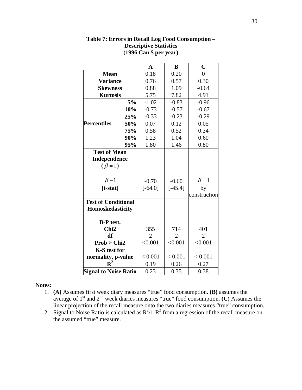|                                                           |     | $\mathbf A$    | B              | $\overline{C}$ |
|-----------------------------------------------------------|-----|----------------|----------------|----------------|
| <b>Mean</b>                                               |     | 0.18           | 0.20           | $\overline{0}$ |
| <b>Variance</b>                                           |     | 0.76           | 0.57           | 0.30           |
| <b>Skewness</b>                                           |     | 0.88           | 1.09           | $-0.64$        |
| <b>Kurtosis</b>                                           |     | 5.75           | 7.82           | 4.91           |
|                                                           | 5%  | $-1.02$        | $-0.83$        | $-0.96$        |
|                                                           | 10% | $-0.73$        | $-0.57$        | $-0.67$        |
|                                                           | 25% | $-0.33$        | $-0.23$        | $-0.29$        |
| <b>Percentiles</b>                                        | 50% | 0.07           | 0.12           | 0.05           |
|                                                           | 75% | 0.58           | 0.52           | 0.34           |
|                                                           | 90% | 1.23           | 1.04           | 0.60           |
|                                                           | 95% | 1.80           | 1.46           | 0.80           |
| <b>Test of Mean</b><br><b>Independence</b><br>$(\beta=1)$ |     |                |                |                |
| $\beta$ -1                                                |     | $-0.70$        | $-0.60$        | $\beta = 1$    |
| $[t-stat]$                                                |     | $[-64.0]$      | $[-45.4]$      | by             |
|                                                           |     |                |                | construction   |
| <b>Test of Conditional</b><br>Homoskedasticity            |     |                |                |                |
| <b>B-P</b> test,<br>Chi <sub>2</sub>                      |     | 355            | 714            | 401            |
| df                                                        |     | $\overline{2}$ | $\overline{2}$ | $\overline{2}$ |
| Prob > Chi2                                               |     | < 0.001        | < 0.001        | < 0.001        |
| K-S test for                                              |     |                |                |                |
| normality, p-value                                        |     | < 0.001        | < 0.001        | < 0.001        |
| ${\bf R}^2$                                               |     | 0.19           | 0.26           | 0.27           |
| <b>Signal to Noise Ratio</b>                              |     | 0.23           | 0.35           | 0.38           |

**Table 7: Errors in Recall Log Food Consumption – Descriptive Statistics (1996 Can \$ per year)** 

#### **Notes:**

- 1. **(A)** Assumes first week diary measures "true" food consumption. **(B)** assumes the average of  $1<sup>st</sup>$  and  $2<sup>nd</sup>$  week diaries measures "true" food consumption. **(C)** Assumes the linear projection of the recall measure onto the two diaries measures "true" consumption.
- 2. Signal to Noise Ratio is calculated as  $R^2/1-R^2$  from a regression of the recall measure on the assumed "true" measure.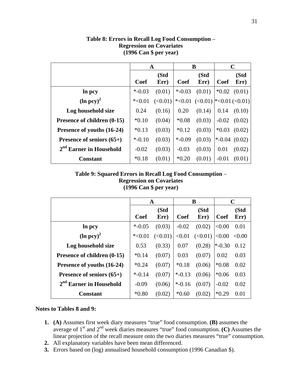|                             |             | A            | B           |                                         |             | $\mathbf C$  |
|-----------------------------|-------------|--------------|-------------|-----------------------------------------|-------------|--------------|
|                             | <b>Coef</b> | (Std<br>Err) | <b>Coef</b> | (Std<br>Err)                            | <b>Coef</b> | (Std<br>Err) |
| In pcy                      | $*$ -0.03   | (0.01)       | $* -0.03$   | (0.01)                                  | $*0.02$     | (0.01)       |
| $(\ln pcy)^2$               | $*<0.01$    | (<0.01)      |             | $\leq 0.01$ (<0.01) $\leq 0.01$ (<0.01) |             |              |
| Log household size          | 0.24        | (0.16)       | 0.20        | (0.14)                                  | 0.14        | (0.10)       |
| Presence of children (0-15) | $*0.10$     | (0.04)       | $*0.08$     | (0.03)                                  | $-0.02$     | (0.02)       |
| Presence of youths (16-24)  | $*0.13$     | (0.03)       | $*0.12$     | (0.03)                                  | $*0.03$     | (0.02)       |
| Presence of seniors $(65+)$ | $* -0.10$   | (0.03)       | $* -0.09$   | (0.03)                                  | $*$ -0.04   | (0.02)       |
| $2nd$ Earner in Household   | $-0.02$     | (0.03)       | $-0.03$     | (0.03)                                  | 0.01        | (0.02)       |
| <b>Constant</b>             | $*0.18$     | (0.01)       | $*0.20$     | (0.01)                                  | $-0.01$     | (0.01)       |

**Table 8: Errors in Recall Log Food Consumption** – **Regression on Covariates (1996 Can \$ per year)** 

## **Table 9: Squared Errors in Recall Log Food Consumption** – **Regression on Covariates (1996 Can \$ per year)**

|                                               |             | $\mathbf A$ | B         |         | $\mathbf C$ |        |
|-----------------------------------------------|-------------|-------------|-----------|---------|-------------|--------|
|                                               |             | (Std        |           | (Std    |             | (Std   |
|                                               | <b>Coef</b> | Err)        | Coef      | Err)    | <b>Coef</b> | Err)   |
| In pcy                                        | $*$ -0.05   | (0.03)      | $-0.02$   | (0.02)  | < 0.00      | 0.01   |
| $(\ln pcy)^2$                                 | $*<0.01$    | (<0.01)     | < 0.01    | (<0.01) | < 0.00      | < 0.00 |
| Log household size                            | 0.53        | (0.33)      | 0.07      | (0.28)  | $*$ -0.30   | 0.12   |
| Presence of children (0-15)                   | $*0.14$     | (0.07)      | 0.03      | (0.07)  | 0.02        | 0.03   |
| Presence of youths (16-24)                    | $*0.24$     | (0.07)      | $*0.18$   | (0.06)  | $*0.08$     | 0.02   |
| <b>Presence of seniors <math>(65+)</math></b> | $* -0.14$   | (0.07)      | $*$ -0.13 | (0.06)  | $*0.06$     | 0.03   |
| $2nd$ Earner in Household                     | $-0.09$     | (0.06)      | $* -0.16$ | (0.07)  | $-0.02$     | 0.02   |
| <b>Constant</b>                               | $*0.80$     | (0.02)      | $*0.60$   | (0.02)  | $*0.29$     | 0.01   |

#### **Notes to Tables 8 and 9:**

- **1. (A)** Assumes first week diary measures "true" food consumption. **(B)** assumes the average of 1st and 2nd week diaries measures "true" food consumption. **(C)** Assumes the linear projection of the recall measure onto the two diaries measures "true" consumption.
- **2.** All explanatory variables have been mean differenced.
- **3.** Errors based on (log) annualised household consumption (1996 Canadian \$).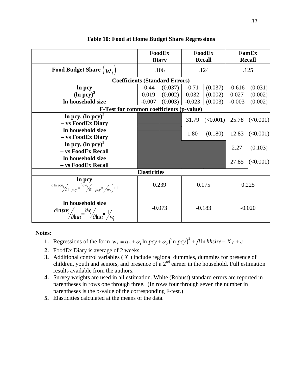|                                                                                                                                                                               | FoodEx<br><b>Diary</b> |          | FoodEx<br><b>Recall</b> |          | FamEx<br><b>Recall</b> |                                   |
|-------------------------------------------------------------------------------------------------------------------------------------------------------------------------------|------------------------|----------|-------------------------|----------|------------------------|-----------------------------------|
| Food Budget Share $\left(\boldsymbol{W}_{f}\right)$                                                                                                                           | .106                   |          | .124                    |          |                        | .125                              |
| <b>Coefficients (Standard Errors)</b>                                                                                                                                         |                        |          |                         |          |                        |                                   |
| In pcy                                                                                                                                                                        | $-0.44$                | (0.037)  | $-0.71$                 | (0.037)  | $-0.616$               | (0.031)                           |
| $(ln pcy)^2$                                                                                                                                                                  | 0.019                  | (0.002)  | 0.032                   | (0.002)  | 0.027                  | (0.002)                           |
| In household size                                                                                                                                                             | $-0.007$               | (0.003)  | $-0.023$                | (0.003)  | $-0.003$               | (0.002)                           |
| <b>F-Test for common coefficients (p-value)</b>                                                                                                                               |                        |          |                         |          |                        |                                   |
| In pcy, $(\ln pcy)^2$<br>- vs FoodEx Diary                                                                                                                                    |                        |          |                         |          |                        | $31.79$ (<0.001) $25.78$ (<0.001) |
| In household size<br>- vs FoodEx Diary                                                                                                                                        |                        |          | 1.80                    | (0.180)  | 12.83                  | (<0.001)                          |
| In pcy, $(ln pcy)^2$<br>- vs FoodEx Recall                                                                                                                                    |                        |          |                         |          | 2.27                   | (0.103)                           |
| In household size<br>- vs FoodEx Recall                                                                                                                                       |                        |          |                         |          |                        | 27.85 $(<0.001)$                  |
|                                                                                                                                                                               | <b>Elasticities</b>    |          |                         |          |                        |                                   |
| $\frac{\ln pcy}{\partial \ln pce_f \left(\frac{\partial w_f}{\partial \ln pcy}\right)} = \left(\frac{\partial w_f}{\partial \ln pcy}\right) \left(\frac{1}{\mu_f}\right) + 1$ |                        | 0.239    | 0.175                   |          | 0.225                  |                                   |
| In household size<br>$\partial \ln pce_f$<br>$\partial \ln n = \frac{\partial v_f}{\partial \ln n}$ $V_{w_f}$                                                                 |                        | $-0.073$ |                         | $-0.183$ |                        | $-0.020$                          |

#### **Table 10: Food at Home Budget Share Regressions**

**Notes:** 

- **1.** Regressions of the form  $w_f = \alpha_0 + \alpha_1 \ln pcy + \alpha_2 (\ln pcy)^2 + \beta \ln hhsize + X\gamma + \varepsilon$
- **2.** FoodEx Diary is average of 2 weeks
- **3.** Additional control variables ( *X* ) include regional dummies, dummies for presence of children, youth and seniors, and presence of a  $2<sup>nd</sup>$  earner in the household. Full estimation results available from the authors.
- **4.** Survey weights are used in all estimation. White (Robust) standard errors are reported in parentheses in rows one through three. (In rows four through seven the number in parentheses is the p-value of the corresponding F-test.)
- **5.** Elasticities calculated at the means of the data.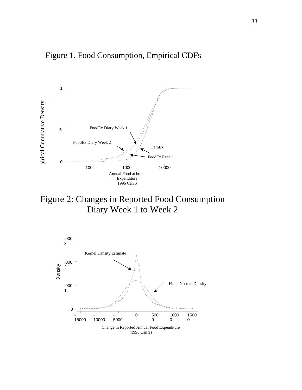



Figure 2: Changes in Reported Food Consumption Diary Week 1 to Week 2

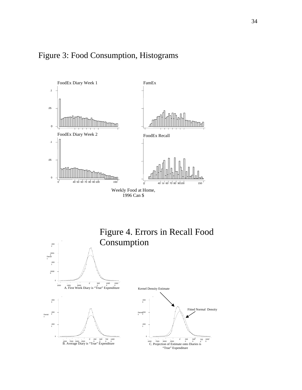





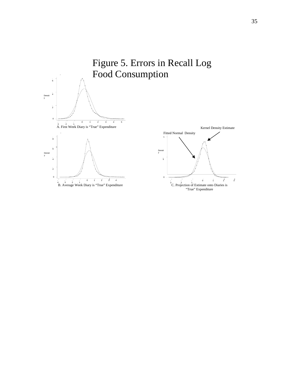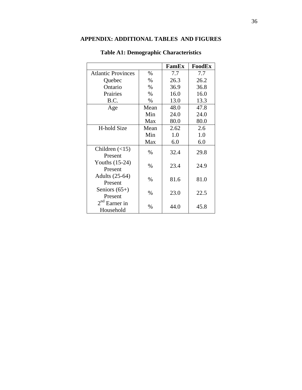## **APPENDIX: ADDITIONAL TABLES AND FIGURES**

|                                 |      | FamEx | FoodEx |
|---------------------------------|------|-------|--------|
| <b>Atlantic Provinces</b>       | $\%$ | 7.7   | 7.7    |
| Quebec                          | %    | 26.3  | 26.2   |
| Ontario                         | %    | 36.9  | 36.8   |
| Prairies                        | $\%$ | 16.0  | 16.0   |
| B.C.                            | $\%$ | 13.0  | 13.3   |
| Age                             | Mean | 48.0  | 47.8   |
|                                 | Min  | 24.0  | 24.0   |
|                                 | Max  | 80.0  | 80.0   |
| H-hold Size                     | Mean | 2.62  | 2.6    |
|                                 | Min  | 1.0   | 1.0    |
|                                 | Max  | 6.0   | 6.0    |
| Children $(\leq 15)$<br>Present | $\%$ | 32.4  | 29.8   |
| Youths $(15-24)$<br>Present     | $\%$ | 23.4  | 24.9   |
| Adults (25-64)<br>Present       | $\%$ | 81.6  | 81.0   |
| Seniors $(65+)$<br>Present      | $\%$ | 23.0  | 22.5   |
| $2nd$ Earner in<br>Household    | $\%$ | 44.0  | 45.8   |

# **Table A1: Demographic Characteristics**